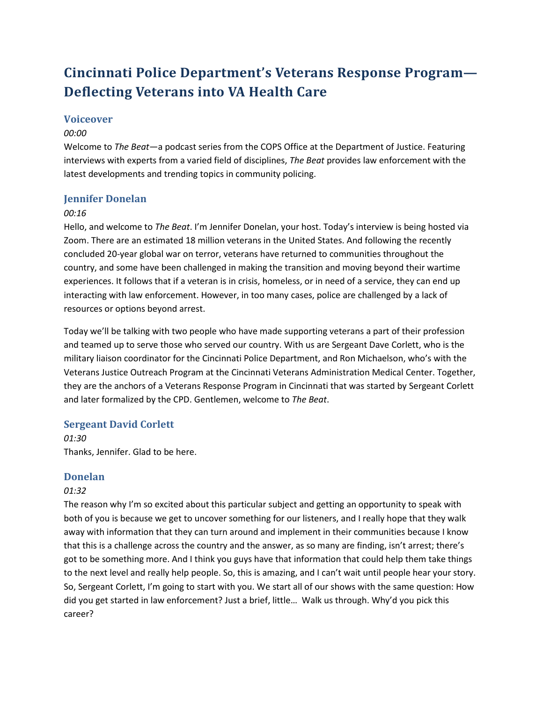# **Cincinnati Police Department's Veterans Response Program— Deflecting Veterans into VA Health Care**

# **Voiceover**

### *00:00*

Welcome to *The Beat*—a podcast series from the COPS Office at the Department of Justice. Featuring interviews with experts from a varied field of disciplines, *The Beat* provides law enforcement with the latest developments and trending topics in community policing.

# **Jennifer Donelan**

### *00:16*

Hello, and welcome to *The Beat*. I'm Jennifer Donelan, your host. Today's interview is being hosted via Zoom. There are an estimated 18 million veterans in the United States. And following the recently concluded 20-year global war on terror, veterans have returned to communities throughout the country, and some have been challenged in making the transition and moving beyond their wartime experiences. It follows that if a veteran is in crisis, homeless, or in need of a service, they can end up interacting with law enforcement. However, in too many cases, police are challenged by a lack of resources or options beyond arrest.

Today we'll be talking with two people who have made supporting veterans a part of their profession and teamed up to serve those who served our country. With us are Sergeant Dave Corlett, who is the military liaison coordinator for the Cincinnati Police Department, and Ron Michaelson, who's with the Veterans Justice Outreach Program at the Cincinnati Veterans Administration Medical Center. Together, they are the anchors of a Veterans Response Program in Cincinnati that was started by Sergeant Corlett and later formalized by the CPD. Gentlemen, welcome to *The Beat*.

### **Sergeant David Corlett**

*01:30* Thanks, Jennifer. Glad to be here.

### **Donelan**

### *01:32*

The reason why I'm so excited about this particular subject and getting an opportunity to speak with both of you is because we get to uncover something for our listeners, and I really hope that they walk away with information that they can turn around and implement in their communities because I know that this is a challenge across the country and the answer, as so many are finding, isn't arrest; there's got to be something more. And I think you guys have that information that could help them take things to the next level and really help people. So, this is amazing, and I can't wait until people hear your story. So, Sergeant Corlett, I'm going to start with you. We start all of our shows with the same question: How did you get started in law enforcement? Just a brief, little… Walk us through. Why'd you pick this career?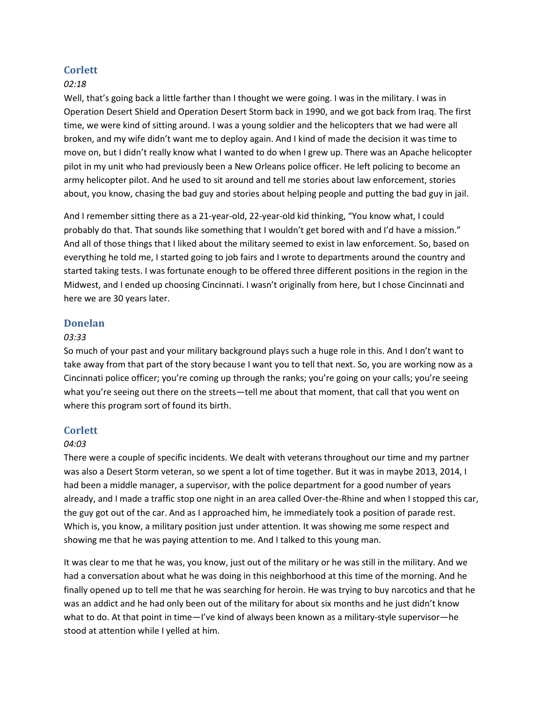### **Corlett**

#### *02:18*

Well, that's going back a little farther than I thought we were going. I was in the military. I was in Operation Desert Shield and Operation Desert Storm back in 1990, and we got back from Iraq. The first time, we were kind of sitting around. I was a young soldier and the helicopters that we had were all broken, and my wife didn't want me to deploy again. And I kind of made the decision it was time to move on, but I didn't really know what I wanted to do when I grew up. There was an Apache helicopter pilot in my unit who had previously been a New Orleans police officer. He left policing to become an army helicopter pilot. And he used to sit around and tell me stories about law enforcement, stories about, you know, chasing the bad guy and stories about helping people and putting the bad guy in jail.

And I remember sitting there as a 21-year-old, 22-year-old kid thinking, "You know what, I could probably do that. That sounds like something that I wouldn't get bored with and I'd have a mission." And all of those things that I liked about the military seemed to exist in law enforcement. So, based on everything he told me, I started going to job fairs and I wrote to departments around the country and started taking tests. I was fortunate enough to be offered three different positions in the region in the Midwest, and I ended up choosing Cincinnati. I wasn't originally from here, but I chose Cincinnati and here we are 30 years later.

#### **Donelan**

#### *03:33*

So much of your past and your military background plays such a huge role in this. And I don't want to take away from that part of the story because I want you to tell that next. So, you are working now as a Cincinnati police officer; you're coming up through the ranks; you're going on your calls; you're seeing what you're seeing out there on the streets—tell me about that moment, that call that you went on where this program sort of found its birth.

### **Corlett**

#### *04:03*

There were a couple of specific incidents. We dealt with veterans throughout our time and my partner was also a Desert Storm veteran, so we spent a lot of time together. But it was in maybe 2013, 2014, I had been a middle manager, a supervisor, with the police department for a good number of years already, and I made a traffic stop one night in an area called Over-the-Rhine and when I stopped this car, the guy got out of the car. And as I approached him, he immediately took a position of parade rest. Which is, you know, a military position just under attention. It was showing me some respect and showing me that he was paying attention to me. And I talked to this young man.

It was clear to me that he was, you know, just out of the military or he was still in the military. And we had a conversation about what he was doing in this neighborhood at this time of the morning. And he finally opened up to tell me that he was searching for heroin. He was trying to buy narcotics and that he was an addict and he had only been out of the military for about six months and he just didn't know what to do. At that point in time—I've kind of always been known as a military-style supervisor—he stood at attention while I yelled at him.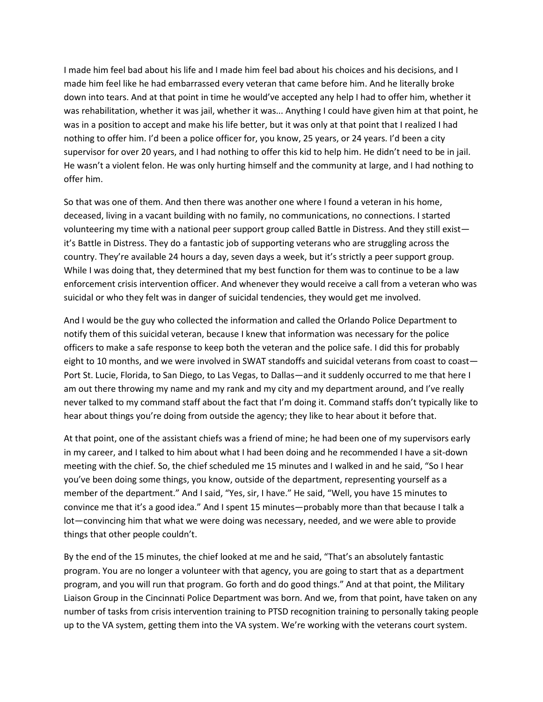I made him feel bad about his life and I made him feel bad about his choices and his decisions, and I made him feel like he had embarrassed every veteran that came before him. And he literally broke down into tears. And at that point in time he would've accepted any help I had to offer him, whether it was rehabilitation, whether it was jail, whether it was... Anything I could have given him at that point, he was in a position to accept and make his life better, but it was only at that point that I realized I had nothing to offer him. I'd been a police officer for, you know, 25 years, or 24 years. I'd been a city supervisor for over 20 years, and I had nothing to offer this kid to help him. He didn't need to be in jail. He wasn't a violent felon. He was only hurting himself and the community at large, and I had nothing to offer him.

So that was one of them. And then there was another one where I found a veteran in his home, deceased, living in a vacant building with no family, no communications, no connections. I started volunteering my time with a national peer support group called Battle in Distress. And they still exist it's Battle in Distress. They do a fantastic job of supporting veterans who are struggling across the country. They're available 24 hours a day, seven days a week, but it's strictly a peer support group. While I was doing that, they determined that my best function for them was to continue to be a law enforcement crisis intervention officer. And whenever they would receive a call from a veteran who was suicidal or who they felt was in danger of suicidal tendencies, they would get me involved.

And I would be the guy who collected the information and called the Orlando Police Department to notify them of this suicidal veteran, because I knew that information was necessary for the police officers to make a safe response to keep both the veteran and the police safe. I did this for probably eight to 10 months, and we were involved in SWAT standoffs and suicidal veterans from coast to coast— Port St. Lucie, Florida, to San Diego, to Las Vegas, to Dallas—and it suddenly occurred to me that here I am out there throwing my name and my rank and my city and my department around, and I've really never talked to my command staff about the fact that I'm doing it. Command staffs don't typically like to hear about things you're doing from outside the agency; they like to hear about it before that.

At that point, one of the assistant chiefs was a friend of mine; he had been one of my supervisors early in my career, and I talked to him about what I had been doing and he recommended I have a sit-down meeting with the chief. So, the chief scheduled me 15 minutes and I walked in and he said, "So I hear you've been doing some things, you know, outside of the department, representing yourself as a member of the department." And I said, "Yes, sir, I have." He said, "Well, you have 15 minutes to convince me that it's a good idea." And I spent 15 minutes—probably more than that because I talk a lot—convincing him that what we were doing was necessary, needed, and we were able to provide things that other people couldn't.

By the end of the 15 minutes, the chief looked at me and he said, "That's an absolutely fantastic program. You are no longer a volunteer with that agency, you are going to start that as a department program, and you will run that program. Go forth and do good things." And at that point, the Military Liaison Group in the Cincinnati Police Department was born. And we, from that point, have taken on any number of tasks from crisis intervention training to PTSD recognition training to personally taking people up to the VA system, getting them into the VA system. We're working with the veterans court system.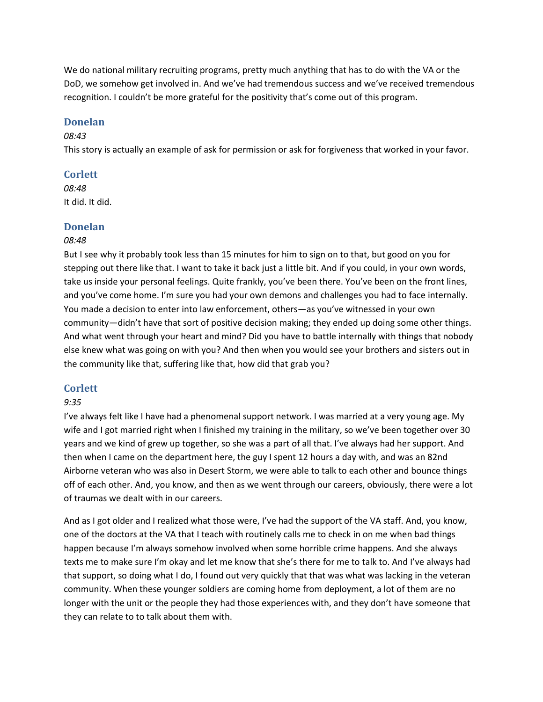We do national military recruiting programs, pretty much anything that has to do with the VA or the DoD, we somehow get involved in. And we've had tremendous success and we've received tremendous recognition. I couldn't be more grateful for the positivity that's come out of this program.

### **Donelan**

#### *08:43*

This story is actually an example of ask for permission or ask for forgiveness that worked in your favor.

### **Corlett**

*08:48* It did. It did.

### **Donelan**

#### *08:48*

But I see why it probably took less than 15 minutes for him to sign on to that, but good on you for stepping out there like that. I want to take it back just a little bit. And if you could, in your own words, take us inside your personal feelings. Quite frankly, you've been there. You've been on the front lines, and you've come home. I'm sure you had your own demons and challenges you had to face internally. You made a decision to enter into law enforcement, others—as you've witnessed in your own community—didn't have that sort of positive decision making; they ended up doing some other things. And what went through your heart and mind? Did you have to battle internally with things that nobody else knew what was going on with you? And then when you would see your brothers and sisters out in the community like that, suffering like that, how did that grab you?

#### **Corlett**

#### *9:35*

I've always felt like I have had a phenomenal support network. I was married at a very young age. My wife and I got married right when I finished my training in the military, so we've been together over 30 years and we kind of grew up together, so she was a part of all that. I've always had her support. And then when I came on the department here, the guy I spent 12 hours a day with, and was an 82nd Airborne veteran who was also in Desert Storm, we were able to talk to each other and bounce things off of each other. And, you know, and then as we went through our careers, obviously, there were a lot of traumas we dealt with in our careers.

And as I got older and I realized what those were, I've had the support of the VA staff. And, you know, one of the doctors at the VA that I teach with routinely calls me to check in on me when bad things happen because I'm always somehow involved when some horrible crime happens. And she always texts me to make sure I'm okay and let me know that she's there for me to talk to. And I've always had that support, so doing what I do, I found out very quickly that that was what was lacking in the veteran community. When these younger soldiers are coming home from deployment, a lot of them are no longer with the unit or the people they had those experiences with, and they don't have someone that they can relate to to talk about them with.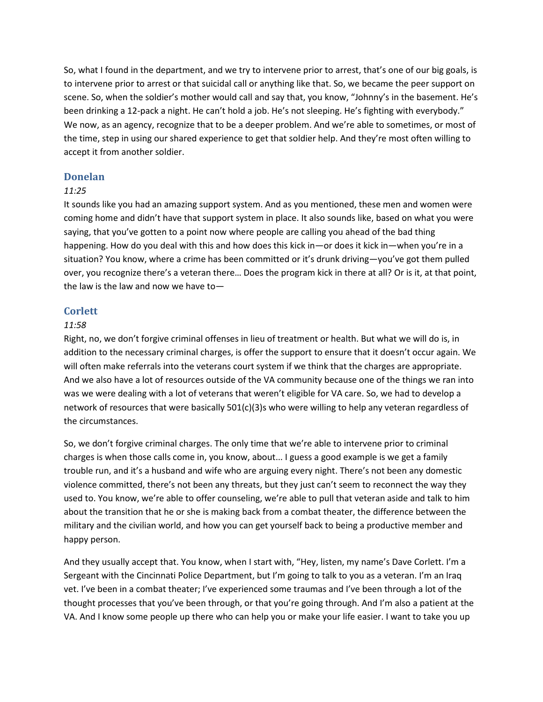So, what I found in the department, and we try to intervene prior to arrest, that's one of our big goals, is to intervene prior to arrest or that suicidal call or anything like that. So, we became the peer support on scene. So, when the soldier's mother would call and say that, you know, "Johnny's in the basement. He's been drinking a 12-pack a night. He can't hold a job. He's not sleeping. He's fighting with everybody." We now, as an agency, recognize that to be a deeper problem. And we're able to sometimes, or most of the time, step in using our shared experience to get that soldier help. And they're most often willing to accept it from another soldier.

#### **Donelan**

#### *11:25*

It sounds like you had an amazing support system. And as you mentioned, these men and women were coming home and didn't have that support system in place. It also sounds like, based on what you were saying, that you've gotten to a point now where people are calling you ahead of the bad thing happening. How do you deal with this and how does this kick in—or does it kick in—when you're in a situation? You know, where a crime has been committed or it's drunk driving—you've got them pulled over, you recognize there's a veteran there… Does the program kick in there at all? Or is it, at that point, the law is the law and now we have to—

#### **Corlett**

#### *11:58*

Right, no, we don't forgive criminal offenses in lieu of treatment or health. But what we will do is, in addition to the necessary criminal charges, is offer the support to ensure that it doesn't occur again. We will often make referrals into the veterans court system if we think that the charges are appropriate. And we also have a lot of resources outside of the VA community because one of the things we ran into was we were dealing with a lot of veterans that weren't eligible for VA care. So, we had to develop a network of resources that were basically 501(c)(3)s who were willing to help any veteran regardless of the circumstances.

So, we don't forgive criminal charges. The only time that we're able to intervene prior to criminal charges is when those calls come in, you know, about... I guess a good example is we get a family trouble run, and it's a husband and wife who are arguing every night. There's not been any domestic violence committed, there's not been any threats, but they just can't seem to reconnect the way they used to. You know, we're able to offer counseling, we're able to pull that veteran aside and talk to him about the transition that he or she is making back from a combat theater, the difference between the military and the civilian world, and how you can get yourself back to being a productive member and happy person.

And they usually accept that. You know, when I start with, "Hey, listen, my name's Dave Corlett. I'm a Sergeant with the Cincinnati Police Department, but I'm going to talk to you as a veteran. I'm an Iraq vet. I've been in a combat theater; I've experienced some traumas and I've been through a lot of the thought processes that you've been through, or that you're going through. And I'm also a patient at the VA. And I know some people up there who can help you or make your life easier. I want to take you up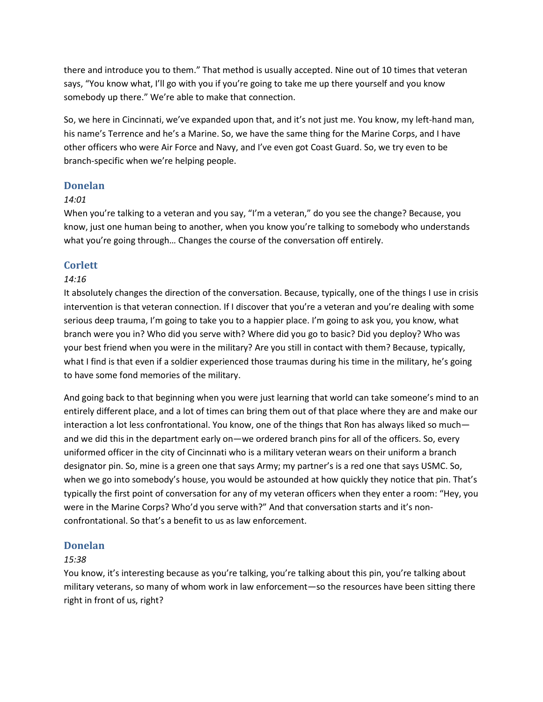there and introduce you to them." That method is usually accepted. Nine out of 10 times that veteran says, "You know what, I'll go with you if you're going to take me up there yourself and you know somebody up there." We're able to make that connection.

So, we here in Cincinnati, we've expanded upon that, and it's not just me. You know, my left-hand man, his name's Terrence and he's a Marine. So, we have the same thing for the Marine Corps, and I have other officers who were Air Force and Navy, and I've even got Coast Guard. So, we try even to be branch-specific when we're helping people.

### **Donelan**

### *14:01*

When you're talking to a veteran and you say, "I'm a veteran," do you see the change? Because, you know, just one human being to another, when you know you're talking to somebody who understands what you're going through... Changes the course of the conversation off entirely.

### **Corlett**

### *14:16*

It absolutely changes the direction of the conversation. Because, typically, one of the things I use in crisis intervention is that veteran connection. If I discover that you're a veteran and you're dealing with some serious deep trauma, I'm going to take you to a happier place. I'm going to ask you, you know, what branch were you in? Who did you serve with? Where did you go to basic? Did you deploy? Who was your best friend when you were in the military? Are you still in contact with them? Because, typically, what I find is that even if a soldier experienced those traumas during his time in the military, he's going to have some fond memories of the military.

And going back to that beginning when you were just learning that world can take someone's mind to an entirely different place, and a lot of times can bring them out of that place where they are and make our interaction a lot less confrontational. You know, one of the things that Ron has always liked so much and we did this in the department early on—we ordered branch pins for all of the officers. So, every uniformed officer in the city of Cincinnati who is a military veteran wears on their uniform a branch designator pin. So, mine is a green one that says Army; my partner's is a red one that says USMC. So, when we go into somebody's house, you would be astounded at how quickly they notice that pin. That's typically the first point of conversation for any of my veteran officers when they enter a room: "Hey, you were in the Marine Corps? Who'd you serve with?" And that conversation starts and it's nonconfrontational. So that's a benefit to us as law enforcement.

### **Donelan**

#### *15:38*

You know, it's interesting because as you're talking, you're talking about this pin, you're talking about military veterans, so many of whom work in law enforcement—so the resources have been sitting there right in front of us, right?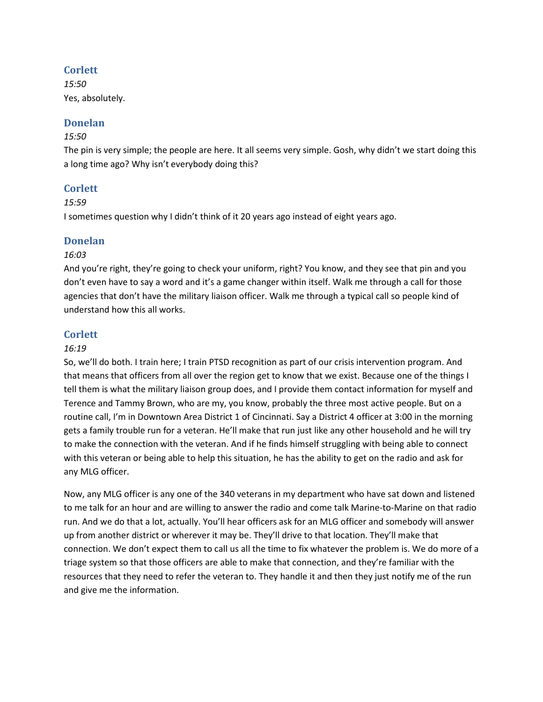# **Corlett**

*15:50* Yes, absolutely.

# **Donelan**

# *15:50*

The pin is very simple; the people are here. It all seems very simple. Gosh, why didn't we start doing this a long time ago? Why isn't everybody doing this?

# **Corlett**

### *15:59*

I sometimes question why I didn't think of it 20 years ago instead of eight years ago.

### **Donelan**

### *16:03*

And you're right, they're going to check your uniform, right? You know, and they see that pin and you don't even have to say a word and it's a game changer within itself. Walk me through a call for those agencies that don't have the military liaison officer. Walk me through a typical call so people kind of understand how this all works.

# **Corlett**

### *16:19*

So, we'll do both. I train here; I train PTSD recognition as part of our crisis intervention program. And that means that officers from all over the region get to know that we exist. Because one of the things I tell them is what the military liaison group does, and I provide them contact information for myself and Terence and Tammy Brown, who are my, you know, probably the three most active people. But on a routine call, I'm in Downtown Area District 1 of Cincinnati. Say a District 4 officer at 3:00 in the morning gets a family trouble run for a veteran. He'll make that run just like any other household and he will try to make the connection with the veteran. And if he finds himself struggling with being able to connect with this veteran or being able to help this situation, he has the ability to get on the radio and ask for any MLG officer.

Now, any MLG officer is any one of the 340 veterans in my department who have sat down and listened to me talk for an hour and are willing to answer the radio and come talk Marine-to-Marine on that radio run. And we do that a lot, actually. You'll hear officers ask for an MLG officer and somebody will answer up from another district or wherever it may be. They'll drive to that location. They'll make that connection. We don't expect them to call us all the time to fix whatever the problem is. We do more of a triage system so that those officers are able to make that connection, and they're familiar with the resources that they need to refer the veteran to. They handle it and then they just notify me of the run and give me the information.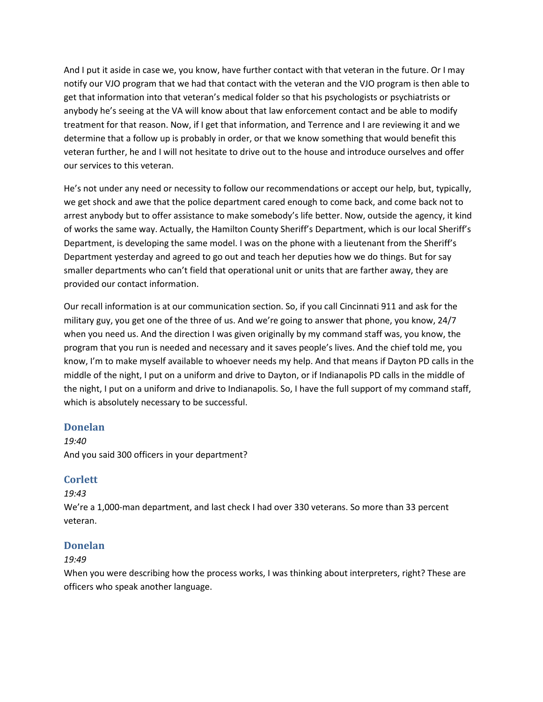And I put it aside in case we, you know, have further contact with that veteran in the future. Or I may notify our VJO program that we had that contact with the veteran and the VJO program is then able to get that information into that veteran's medical folder so that his psychologists or psychiatrists or anybody he's seeing at the VA will know about that law enforcement contact and be able to modify treatment for that reason. Now, if I get that information, and Terrence and I are reviewing it and we determine that a follow up is probably in order, or that we know something that would benefit this veteran further, he and I will not hesitate to drive out to the house and introduce ourselves and offer our services to this veteran.

He's not under any need or necessity to follow our recommendations or accept our help, but, typically, we get shock and awe that the police department cared enough to come back, and come back not to arrest anybody but to offer assistance to make somebody's life better. Now, outside the agency, it kind of works the same way. Actually, the Hamilton County Sheriff's Department, which is our local Sheriff's Department, is developing the same model. I was on the phone with a lieutenant from the Sheriff's Department yesterday and agreed to go out and teach her deputies how we do things. But for say smaller departments who can't field that operational unit or units that are farther away, they are provided our contact information.

Our recall information is at our communication section. So, if you call Cincinnati 911 and ask for the military guy, you get one of the three of us. And we're going to answer that phone, you know, 24/7 when you need us. And the direction I was given originally by my command staff was, you know, the program that you run is needed and necessary and it saves people's lives. And the chief told me, you know, I'm to make myself available to whoever needs my help. And that means if Dayton PD calls in the middle of the night, I put on a uniform and drive to Dayton, or if Indianapolis PD calls in the middle of the night, I put on a uniform and drive to Indianapolis. So, I have the full support of my command staff, which is absolutely necessary to be successful.

### **Donelan**

*19:40* And you said 300 officers in your department?

### **Corlett**

#### *19:43*

We're a 1,000-man department, and last check I had over 330 veterans. So more than 33 percent veteran.

### **Donelan**

#### *19:49*

When you were describing how the process works, I was thinking about interpreters, right? These are officers who speak another language.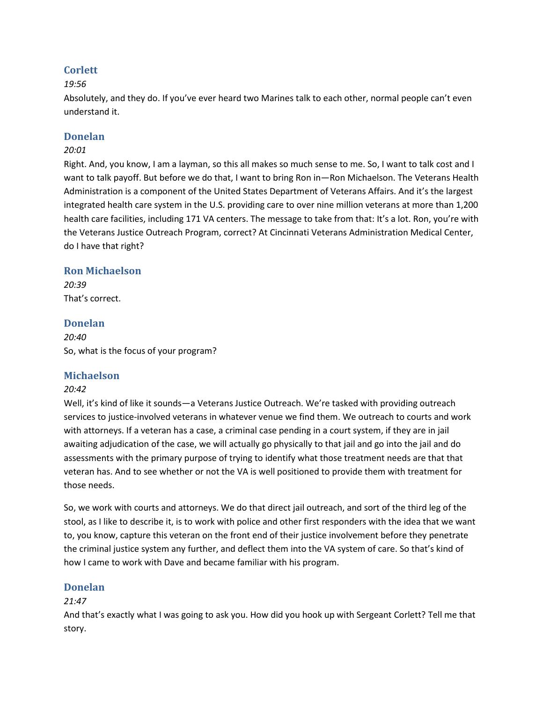# **Corlett**

### *19:56*

Absolutely, and they do. If you've ever heard two Marines talk to each other, normal people can't even understand it.

# **Donelan**

### *20:01*

Right. And, you know, I am a layman, so this all makes so much sense to me. So, I want to talk cost and I want to talk payoff. But before we do that, I want to bring Ron in—Ron Michaelson. The Veterans Health Administration is a component of the United States Department of Veterans Affairs. And it's the largest integrated health care system in the U.S. providing care to over nine million veterans at more than 1,200 health care facilities, including 171 VA centers. The message to take from that: It's a lot. Ron, you're with the Veterans Justice Outreach Program, correct? At Cincinnati Veterans Administration Medical Center, do I have that right?

### **Ron Michaelson**

*20:39* That's correct.

# **Donelan**

*20:40* So, what is the focus of your program?

### **Michaelson**

### *20:42*

Well, it's kind of like it sounds—a Veterans Justice Outreach. We're tasked with providing outreach services to justice-involved veterans in whatever venue we find them. We outreach to courts and work with attorneys. If a veteran has a case, a criminal case pending in a court system, if they are in jail awaiting adjudication of the case, we will actually go physically to that jail and go into the jail and do assessments with the primary purpose of trying to identify what those treatment needs are that that veteran has. And to see whether or not the VA is well positioned to provide them with treatment for those needs.

So, we work with courts and attorneys. We do that direct jail outreach, and sort of the third leg of the stool, as I like to describe it, is to work with police and other first responders with the idea that we want to, you know, capture this veteran on the front end of their justice involvement before they penetrate the criminal justice system any further, and deflect them into the VA system of care. So that's kind of how I came to work with Dave and became familiar with his program.

### **Donelan**

### *21:47*

And that's exactly what I was going to ask you. How did you hook up with Sergeant Corlett? Tell me that story.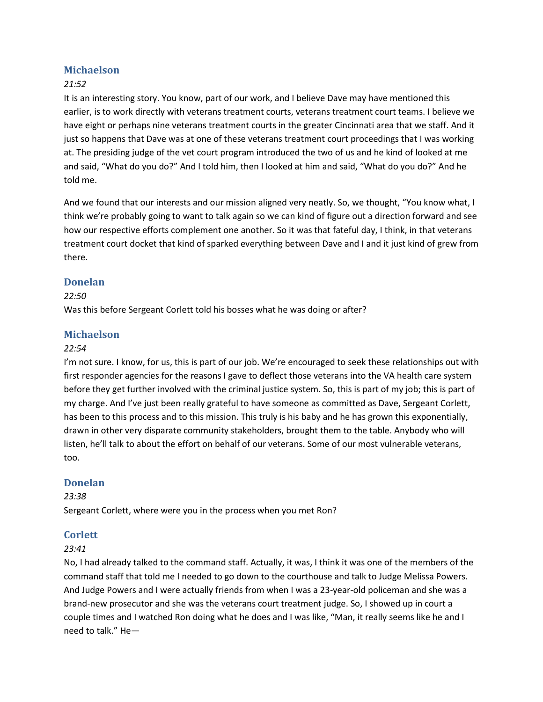### **Michaelson**

### *21:52*

It is an interesting story. You know, part of our work, and I believe Dave may have mentioned this earlier, is to work directly with veterans treatment courts, veterans treatment court teams. I believe we have eight or perhaps nine veterans treatment courts in the greater Cincinnati area that we staff. And it just so happens that Dave was at one of these veterans treatment court proceedings that I was working at. The presiding judge of the vet court program introduced the two of us and he kind of looked at me and said, "What do you do?" And I told him, then I looked at him and said, "What do you do?" And he told me.

And we found that our interests and our mission aligned very neatly. So, we thought, "You know what, I think we're probably going to want to talk again so we can kind of figure out a direction forward and see how our respective efforts complement one another. So it was that fateful day, I think, in that veterans treatment court docket that kind of sparked everything between Dave and I and it just kind of grew from there.

### **Donelan**

#### *22:50*

Was this before Sergeant Corlett told his bosses what he was doing or after?

#### **Michaelson**

#### *22:54*

I'm not sure. I know, for us, this is part of our job. We're encouraged to seek these relationships out with first responder agencies for the reasons I gave to deflect those veterans into the VA health care system before they get further involved with the criminal justice system. So, this is part of my job; this is part of my charge. And I've just been really grateful to have someone as committed as Dave, Sergeant Corlett, has been to this process and to this mission. This truly is his baby and he has grown this exponentially, drawn in other very disparate community stakeholders, brought them to the table. Anybody who will listen, he'll talk to about the effort on behalf of our veterans. Some of our most vulnerable veterans, too.

#### **Donelan**

#### *23:38*

Sergeant Corlett, where were you in the process when you met Ron?

#### **Corlett**

#### *23:41*

No, I had already talked to the command staff. Actually, it was, I think it was one of the members of the command staff that told me I needed to go down to the courthouse and talk to Judge Melissa Powers. And Judge Powers and I were actually friends from when I was a 23-year-old policeman and she was a brand-new prosecutor and she was the veterans court treatment judge. So, I showed up in court a couple times and I watched Ron doing what he does and I was like, "Man, it really seems like he and I need to talk." He—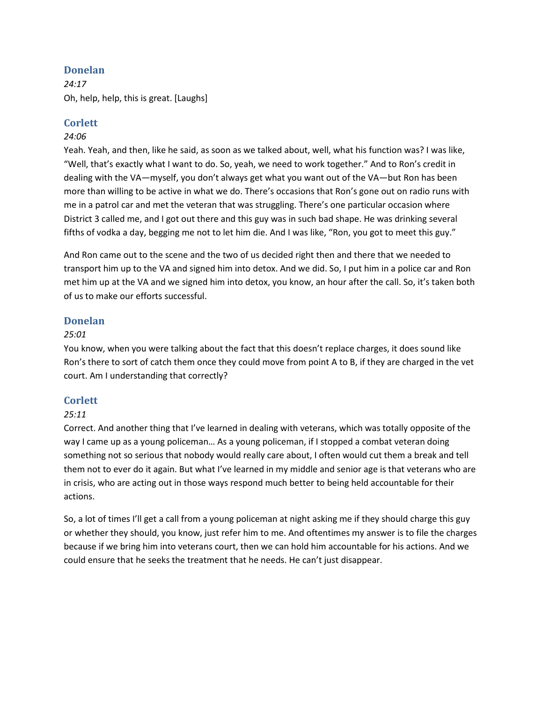*24:17* Oh, help, help, this is great. [Laughs]

### **Corlett**

### *24:06*

Yeah. Yeah, and then, like he said, as soon as we talked about, well, what his function was? I was like, "Well, that's exactly what I want to do. So, yeah, we need to work together." And to Ron's credit in dealing with the VA—myself, you don't always get what you want out of the VA—but Ron has been more than willing to be active in what we do. There's occasions that Ron's gone out on radio runs with me in a patrol car and met the veteran that was struggling. There's one particular occasion where District 3 called me, and I got out there and this guy was in such bad shape. He was drinking several fifths of vodka a day, begging me not to let him die. And I was like, "Ron, you got to meet this guy."

And Ron came out to the scene and the two of us decided right then and there that we needed to transport him up to the VA and signed him into detox. And we did. So, I put him in a police car and Ron met him up at the VA and we signed him into detox, you know, an hour after the call. So, it's taken both of us to make our efforts successful.

### **Donelan**

#### *25:01*

You know, when you were talking about the fact that this doesn't replace charges, it does sound like Ron's there to sort of catch them once they could move from point A to B, if they are charged in the vet court. Am I understanding that correctly?

### **Corlett**

### *25:11*

Correct. And another thing that I've learned in dealing with veterans, which was totally opposite of the way I came up as a young policeman… As a young policeman, if I stopped a combat veteran doing something not so serious that nobody would really care about, I often would cut them a break and tell them not to ever do it again. But what I've learned in my middle and senior age is that veterans who are in crisis, who are acting out in those ways respond much better to being held accountable for their actions.

So, a lot of times I'll get a call from a young policeman at night asking me if they should charge this guy or whether they should, you know, just refer him to me. And oftentimes my answer is to file the charges because if we bring him into veterans court, then we can hold him accountable for his actions. And we could ensure that he seeks the treatment that he needs. He can't just disappear.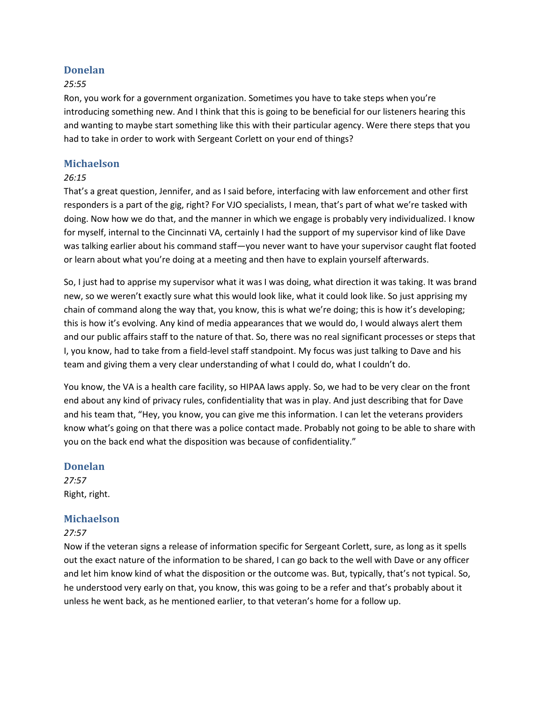#### *25:55*

Ron, you work for a government organization. Sometimes you have to take steps when you're introducing something new. And I think that this is going to be beneficial for our listeners hearing this and wanting to maybe start something like this with their particular agency. Were there steps that you had to take in order to work with Sergeant Corlett on your end of things?

#### **Michaelson**

#### *26:15*

That's a great question, Jennifer, and as I said before, interfacing with law enforcement and other first responders is a part of the gig, right? For VJO specialists, I mean, that's part of what we're tasked with doing. Now how we do that, and the manner in which we engage is probably very individualized. I know for myself, internal to the Cincinnati VA, certainly I had the support of my supervisor kind of like Dave was talking earlier about his command staff—you never want to have your supervisor caught flat footed or learn about what you're doing at a meeting and then have to explain yourself afterwards.

So, I just had to apprise my supervisor what it was I was doing, what direction it was taking. It was brand new, so we weren't exactly sure what this would look like, what it could look like. So just apprising my chain of command along the way that, you know, this is what we're doing; this is how it's developing; this is how it's evolving. Any kind of media appearances that we would do, I would always alert them and our public affairs staff to the nature of that. So, there was no real significant processes or steps that I, you know, had to take from a field-level staff standpoint. My focus was just talking to Dave and his team and giving them a very clear understanding of what I could do, what I couldn't do.

You know, the VA is a health care facility, so HIPAA laws apply. So, we had to be very clear on the front end about any kind of privacy rules, confidentiality that was in play. And just describing that for Dave and his team that, "Hey, you know, you can give me this information. I can let the veterans providers know what's going on that there was a police contact made. Probably not going to be able to share with you on the back end what the disposition was because of confidentiality."

#### **Donelan**

*27:57* Right, right.

#### **Michaelson**

#### *27:57*

Now if the veteran signs a release of information specific for Sergeant Corlett, sure, as long as it spells out the exact nature of the information to be shared, I can go back to the well with Dave or any officer and let him know kind of what the disposition or the outcome was. But, typically, that's not typical. So, he understood very early on that, you know, this was going to be a refer and that's probably about it unless he went back, as he mentioned earlier, to that veteran's home for a follow up.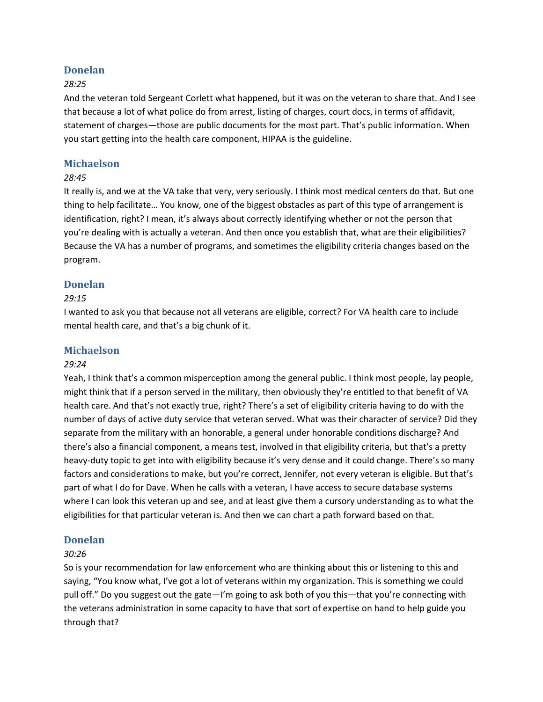#### *28:25*

And the veteran told Sergeant Corlett what happened, but it was on the veteran to share that. And I see that because a lot of what police do from arrest, listing of charges, court docs, in terms of affidavit, statement of charges—those are public documents for the most part. That's public information. When you start getting into the health care component, HIPAA is the guideline.

### **Michaelson**

#### *28:45*

It really is, and we at the VA take that very, very seriously. I think most medical centers do that. But one thing to help facilitate… You know, one of the biggest obstacles as part of this type of arrangement is identification, right? I mean, it's always about correctly identifying whether or not the person that you're dealing with is actually a veteran. And then once you establish that, what are their eligibilities? Because the VA has a number of programs, and sometimes the eligibility criteria changes based on the program.

### **Donelan**

#### *29:15*

I wanted to ask you that because not all veterans are eligible, correct? For VA health care to include mental health care, and that's a big chunk of it.

#### **Michaelson**

#### *29:24*

Yeah, I think that's a common misperception among the general public. I think most people, lay people, might think that if a person served in the military, then obviously they're entitled to that benefit of VA health care. And that's not exactly true, right? There's a set of eligibility criteria having to do with the number of days of active duty service that veteran served. What was their character of service? Did they separate from the military with an honorable, a general under honorable conditions discharge? And there's also a financial component, a means test, involved in that eligibility criteria, but that's a pretty heavy-duty topic to get into with eligibility because it's very dense and it could change. There's so many factors and considerations to make, but you're correct, Jennifer, not every veteran is eligible. But that's part of what I do for Dave. When he calls with a veteran, I have access to secure database systems where I can look this veteran up and see, and at least give them a cursory understanding as to what the eligibilities for that particular veteran is. And then we can chart a path forward based on that.

#### **Donelan**

#### *30:26*

So is your recommendation for law enforcement who are thinking about this or listening to this and saying, "You know what, I've got a lot of veterans within my organization. This is something we could pull off." Do you suggest out the gate—I'm going to ask both of you this—that you're connecting with the veterans administration in some capacity to have that sort of expertise on hand to help guide you through that?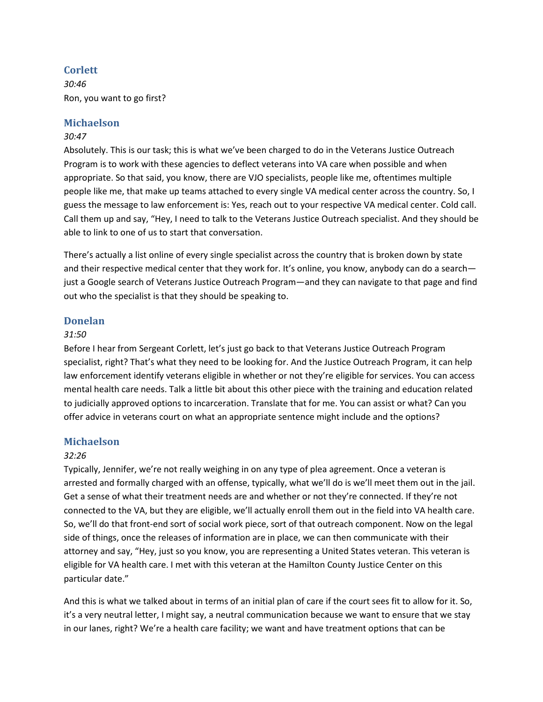### **Corlett**

*30:46* Ron, you want to go first?

### **Michaelson**

### *30:47*

Absolutely. This is our task; this is what we've been charged to do in the Veterans Justice Outreach Program is to work with these agencies to deflect veterans into VA care when possible and when appropriate. So that said, you know, there are VJO specialists, people like me, oftentimes multiple people like me, that make up teams attached to every single VA medical center across the country. So, I guess the message to law enforcement is: Yes, reach out to your respective VA medical center. Cold call. Call them up and say, "Hey, I need to talk to the Veterans Justice Outreach specialist. And they should be able to link to one of us to start that conversation.

There's actually a list online of every single specialist across the country that is broken down by state and their respective medical center that they work for. It's online, you know, anybody can do a search just a Google search of Veterans Justice Outreach Program—and they can navigate to that page and find out who the specialist is that they should be speaking to.

#### **Donelan**

#### *31:50*

Before I hear from Sergeant Corlett, let's just go back to that Veterans Justice Outreach Program specialist, right? That's what they need to be looking for. And the Justice Outreach Program, it can help law enforcement identify veterans eligible in whether or not they're eligible for services. You can access mental health care needs. Talk a little bit about this other piece with the training and education related to judicially approved options to incarceration. Translate that for me. You can assist or what? Can you offer advice in veterans court on what an appropriate sentence might include and the options?

#### **Michaelson**

#### *32:26*

Typically, Jennifer, we're not really weighing in on any type of plea agreement. Once a veteran is arrested and formally charged with an offense, typically, what we'll do is we'll meet them out in the jail. Get a sense of what their treatment needs are and whether or not they're connected. If they're not connected to the VA, but they are eligible, we'll actually enroll them out in the field into VA health care. So, we'll do that front-end sort of social work piece, sort of that outreach component. Now on the legal side of things, once the releases of information are in place, we can then communicate with their attorney and say, "Hey, just so you know, you are representing a United States veteran. This veteran is eligible for VA health care. I met with this veteran at the Hamilton County Justice Center on this particular date."

And this is what we talked about in terms of an initial plan of care if the court sees fit to allow for it. So, it's a very neutral letter, I might say, a neutral communication because we want to ensure that we stay in our lanes, right? We're a health care facility; we want and have treatment options that can be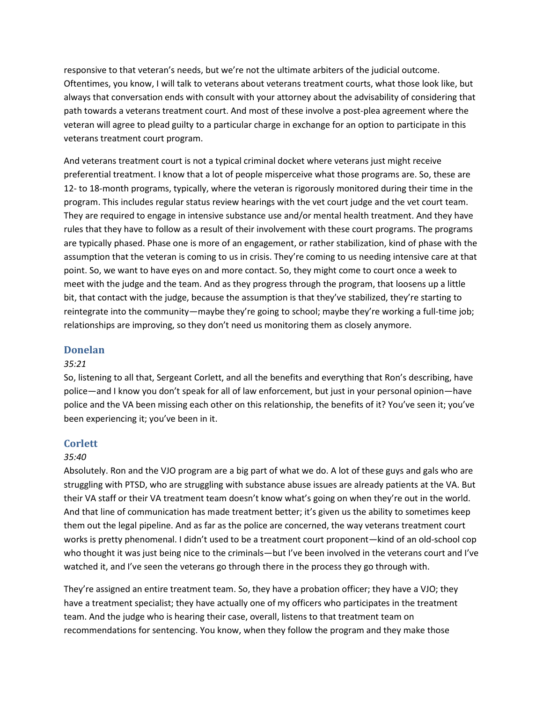responsive to that veteran's needs, but we're not the ultimate arbiters of the judicial outcome. Oftentimes, you know, I will talk to veterans about veterans treatment courts, what those look like, but always that conversation ends with consult with your attorney about the advisability of considering that path towards a veterans treatment court. And most of these involve a post-plea agreement where the veteran will agree to plead guilty to a particular charge in exchange for an option to participate in this veterans treatment court program.

And veterans treatment court is not a typical criminal docket where veterans just might receive preferential treatment. I know that a lot of people misperceive what those programs are. So, these are 12- to 18-month programs, typically, where the veteran is rigorously monitored during their time in the program. This includes regular status review hearings with the vet court judge and the vet court team. They are required to engage in intensive substance use and/or mental health treatment. And they have rules that they have to follow as a result of their involvement with these court programs. The programs are typically phased. Phase one is more of an engagement, or rather stabilization, kind of phase with the assumption that the veteran is coming to us in crisis. They're coming to us needing intensive care at that point. So, we want to have eyes on and more contact. So, they might come to court once a week to meet with the judge and the team. And as they progress through the program, that loosens up a little bit, that contact with the judge, because the assumption is that they've stabilized, they're starting to reintegrate into the community—maybe they're going to school; maybe they're working a full-time job; relationships are improving, so they don't need us monitoring them as closely anymore.

#### **Donelan**

#### *35:21*

So, listening to all that, Sergeant Corlett, and all the benefits and everything that Ron's describing, have police—and I know you don't speak for all of law enforcement, but just in your personal opinion—have police and the VA been missing each other on this relationship, the benefits of it? You've seen it; you've been experiencing it; you've been in it.

#### **Corlett**

#### *35:40*

Absolutely. Ron and the VJO program are a big part of what we do. A lot of these guys and gals who are struggling with PTSD, who are struggling with substance abuse issues are already patients at the VA. But their VA staff or their VA treatment team doesn't know what's going on when they're out in the world. And that line of communication has made treatment better; it's given us the ability to sometimes keep them out the legal pipeline. And as far as the police are concerned, the way veterans treatment court works is pretty phenomenal. I didn't used to be a treatment court proponent—kind of an old-school cop who thought it was just being nice to the criminals—but I've been involved in the veterans court and I've watched it, and I've seen the veterans go through there in the process they go through with.

They're assigned an entire treatment team. So, they have a probation officer; they have a VJO; they have a treatment specialist; they have actually one of my officers who participates in the treatment team. And the judge who is hearing their case, overall, listens to that treatment team on recommendations for sentencing. You know, when they follow the program and they make those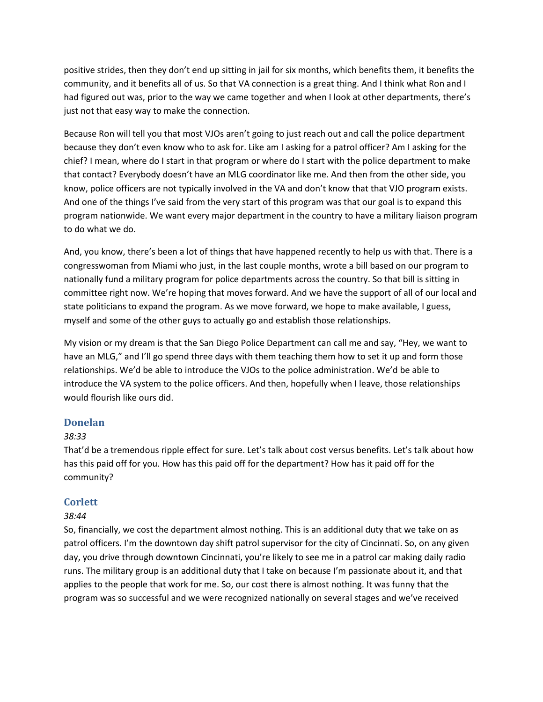positive strides, then they don't end up sitting in jail for six months, which benefits them, it benefits the community, and it benefits all of us. So that VA connection is a great thing. And I think what Ron and I had figured out was, prior to the way we came together and when I look at other departments, there's just not that easy way to make the connection.

Because Ron will tell you that most VJOs aren't going to just reach out and call the police department because they don't even know who to ask for. Like am I asking for a patrol officer? Am I asking for the chief? I mean, where do I start in that program or where do I start with the police department to make that contact? Everybody doesn't have an MLG coordinator like me. And then from the other side, you know, police officers are not typically involved in the VA and don't know that that VJO program exists. And one of the things I've said from the very start of this program was that our goal is to expand this program nationwide. We want every major department in the country to have a military liaison program to do what we do.

And, you know, there's been a lot of things that have happened recently to help us with that. There is a congresswoman from Miami who just, in the last couple months, wrote a bill based on our program to nationally fund a military program for police departments across the country. So that bill is sitting in committee right now. We're hoping that moves forward. And we have the support of all of our local and state politicians to expand the program. As we move forward, we hope to make available, I guess, myself and some of the other guys to actually go and establish those relationships.

My vision or my dream is that the San Diego Police Department can call me and say, "Hey, we want to have an MLG," and I'll go spend three days with them teaching them how to set it up and form those relationships. We'd be able to introduce the VJOs to the police administration. We'd be able to introduce the VA system to the police officers. And then, hopefully when I leave, those relationships would flourish like ours did.

### **Donelan**

#### *38:33*

That'd be a tremendous ripple effect for sure. Let's talk about cost versus benefits. Let's talk about how has this paid off for you. How has this paid off for the department? How has it paid off for the community?

### **Corlett**

#### *38:44*

So, financially, we cost the department almost nothing. This is an additional duty that we take on as patrol officers. I'm the downtown day shift patrol supervisor for the city of Cincinnati. So, on any given day, you drive through downtown Cincinnati, you're likely to see me in a patrol car making daily radio runs. The military group is an additional duty that I take on because I'm passionate about it, and that applies to the people that work for me. So, our cost there is almost nothing. It was funny that the program was so successful and we were recognized nationally on several stages and we've received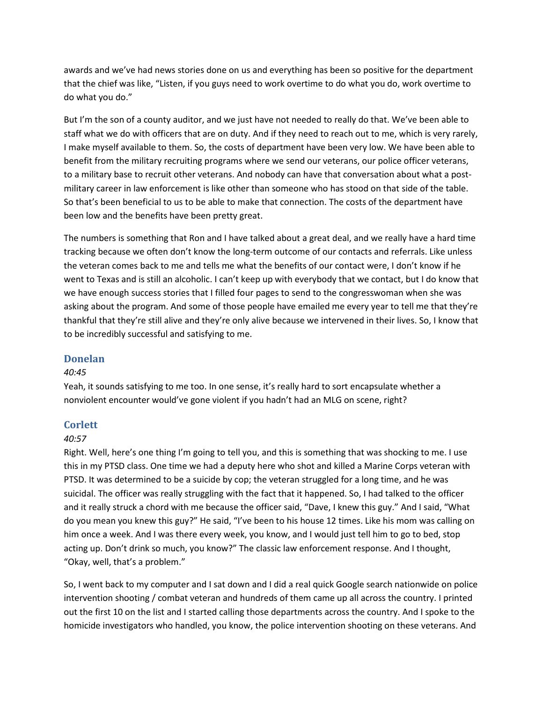awards and we've had news stories done on us and everything has been so positive for the department that the chief was like, "Listen, if you guys need to work overtime to do what you do, work overtime to do what you do."

But I'm the son of a county auditor, and we just have not needed to really do that. We've been able to staff what we do with officers that are on duty. And if they need to reach out to me, which is very rarely, I make myself available to them. So, the costs of department have been very low. We have been able to benefit from the military recruiting programs where we send our veterans, our police officer veterans, to a military base to recruit other veterans. And nobody can have that conversation about what a postmilitary career in law enforcement is like other than someone who has stood on that side of the table. So that's been beneficial to us to be able to make that connection. The costs of the department have been low and the benefits have been pretty great.

The numbers is something that Ron and I have talked about a great deal, and we really have a hard time tracking because we often don't know the long-term outcome of our contacts and referrals. Like unless the veteran comes back to me and tells me what the benefits of our contact were, I don't know if he went to Texas and is still an alcoholic. I can't keep up with everybody that we contact, but I do know that we have enough success stories that I filled four pages to send to the congresswoman when she was asking about the program. And some of those people have emailed me every year to tell me that they're thankful that they're still alive and they're only alive because we intervened in their lives. So, I know that to be incredibly successful and satisfying to me.

### **Donelan**

#### *40:45*

Yeah, it sounds satisfying to me too. In one sense, it's really hard to sort encapsulate whether a nonviolent encounter would've gone violent if you hadn't had an MLG on scene, right?

### **Corlett**

#### *40:57*

Right. Well, here's one thing I'm going to tell you, and this is something that was shocking to me. I use this in my PTSD class. One time we had a deputy here who shot and killed a Marine Corps veteran with PTSD. It was determined to be a suicide by cop; the veteran struggled for a long time, and he was suicidal. The officer was really struggling with the fact that it happened. So, I had talked to the officer and it really struck a chord with me because the officer said, "Dave, I knew this guy." And I said, "What do you mean you knew this guy?" He said, "I've been to his house 12 times. Like his mom was calling on him once a week. And I was there every week, you know, and I would just tell him to go to bed, stop acting up. Don't drink so much, you know?" The classic law enforcement response. And I thought, "Okay, well, that's a problem."

So, I went back to my computer and I sat down and I did a real quick Google search nationwide on police intervention shooting / combat veteran and hundreds of them came up all across the country. I printed out the first 10 on the list and I started calling those departments across the country. And I spoke to the homicide investigators who handled, you know, the police intervention shooting on these veterans. And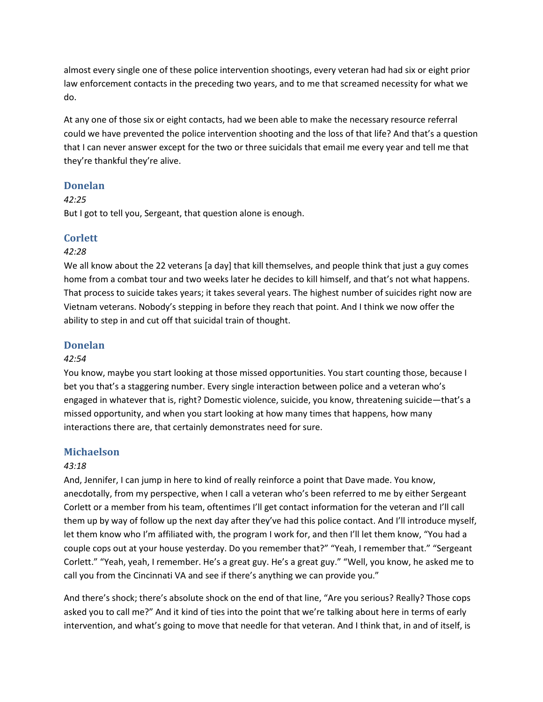almost every single one of these police intervention shootings, every veteran had had six or eight prior law enforcement contacts in the preceding two years, and to me that screamed necessity for what we do.

At any one of those six or eight contacts, had we been able to make the necessary resource referral could we have prevented the police intervention shooting and the loss of that life? And that's a question that I can never answer except for the two or three suicidals that email me every year and tell me that they're thankful they're alive.

### **Donelan**

# *42:25*

But I got to tell you, Sergeant, that question alone is enough.

### **Corlett**

#### *42:28*

We all know about the 22 veterans [a day] that kill themselves, and people think that just a guy comes home from a combat tour and two weeks later he decides to kill himself, and that's not what happens. That process to suicide takes years; it takes several years. The highest number of suicides right now are Vietnam veterans. Nobody's stepping in before they reach that point. And I think we now offer the ability to step in and cut off that suicidal train of thought.

### **Donelan**

#### *42:54*

You know, maybe you start looking at those missed opportunities. You start counting those, because I bet you that's a staggering number. Every single interaction between police and a veteran who's engaged in whatever that is, right? Domestic violence, suicide, you know, threatening suicide—that's a missed opportunity, and when you start looking at how many times that happens, how many interactions there are, that certainly demonstrates need for sure.

### **Michaelson**

#### *43:18*

And, Jennifer, I can jump in here to kind of really reinforce a point that Dave made. You know, anecdotally, from my perspective, when I call a veteran who's been referred to me by either Sergeant Corlett or a member from his team, oftentimes I'll get contact information for the veteran and I'll call them up by way of follow up the next day after they've had this police contact. And I'll introduce myself, let them know who I'm affiliated with, the program I work for, and then I'll let them know, "You had a couple cops out at your house yesterday. Do you remember that?" "Yeah, I remember that." "Sergeant Corlett." "Yeah, yeah, I remember. He's a great guy. He's a great guy." "Well, you know, he asked me to call you from the Cincinnati VA and see if there's anything we can provide you."

And there's shock; there's absolute shock on the end of that line, "Are you serious? Really? Those cops asked you to call me?" And it kind of ties into the point that we're talking about here in terms of early intervention, and what's going to move that needle for that veteran. And I think that, in and of itself, is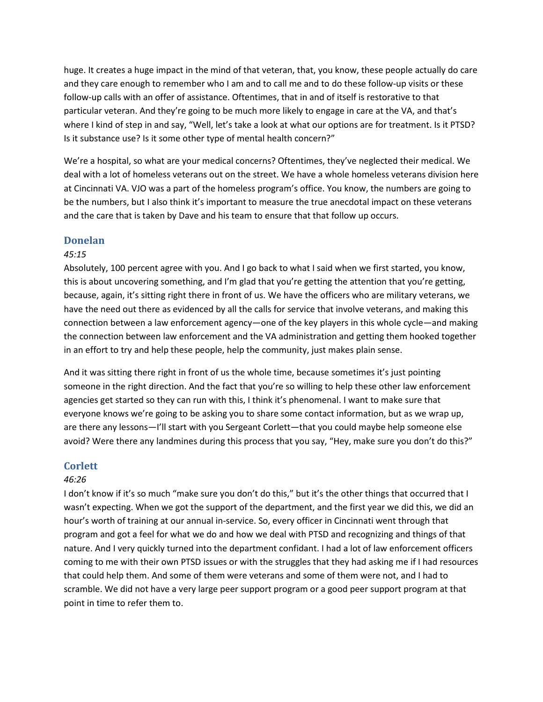huge. It creates a huge impact in the mind of that veteran, that, you know, these people actually do care and they care enough to remember who I am and to call me and to do these follow-up visits or these follow-up calls with an offer of assistance. Oftentimes, that in and of itself is restorative to that particular veteran. And they're going to be much more likely to engage in care at the VA, and that's where I kind of step in and say, "Well, let's take a look at what our options are for treatment. Is it PTSD? Is it substance use? Is it some other type of mental health concern?"

We're a hospital, so what are your medical concerns? Oftentimes, they've neglected their medical. We deal with a lot of homeless veterans out on the street. We have a whole homeless veterans division here at Cincinnati VA. VJO was a part of the homeless program's office. You know, the numbers are going to be the numbers, but I also think it's important to measure the true anecdotal impact on these veterans and the care that is taken by Dave and his team to ensure that that follow up occurs.

#### **Donelan**

#### *45:15*

Absolutely, 100 percent agree with you. And I go back to what I said when we first started, you know, this is about uncovering something, and I'm glad that you're getting the attention that you're getting, because, again, it's sitting right there in front of us. We have the officers who are military veterans, we have the need out there as evidenced by all the calls for service that involve veterans, and making this connection between a law enforcement agency—one of the key players in this whole cycle—and making the connection between law enforcement and the VA administration and getting them hooked together in an effort to try and help these people, help the community, just makes plain sense.

And it was sitting there right in front of us the whole time, because sometimes it's just pointing someone in the right direction. And the fact that you're so willing to help these other law enforcement agencies get started so they can run with this, I think it's phenomenal. I want to make sure that everyone knows we're going to be asking you to share some contact information, but as we wrap up, are there any lessons—I'll start with you Sergeant Corlett—that you could maybe help someone else avoid? Were there any landmines during this process that you say, "Hey, make sure you don't do this?"

#### **Corlett**

#### *46:26*

I don't know if it's so much "make sure you don't do this," but it's the other things that occurred that I wasn't expecting. When we got the support of the department, and the first year we did this, we did an hour's worth of training at our annual in-service. So, every officer in Cincinnati went through that program and got a feel for what we do and how we deal with PTSD and recognizing and things of that nature. And I very quickly turned into the department confidant. I had a lot of law enforcement officers coming to me with their own PTSD issues or with the struggles that they had asking me if I had resources that could help them. And some of them were veterans and some of them were not, and I had to scramble. We did not have a very large peer support program or a good peer support program at that point in time to refer them to.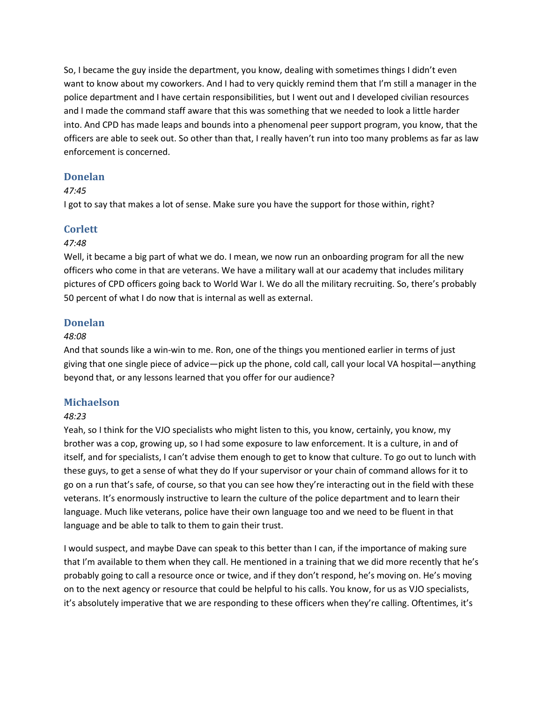So, I became the guy inside the department, you know, dealing with sometimes things I didn't even want to know about my coworkers. And I had to very quickly remind them that I'm still a manager in the police department and I have certain responsibilities, but I went out and I developed civilian resources and I made the command staff aware that this was something that we needed to look a little harder into. And CPD has made leaps and bounds into a phenomenal peer support program, you know, that the officers are able to seek out. So other than that, I really haven't run into too many problems as far as law enforcement is concerned.

### **Donelan**

#### *47:45*

I got to say that makes a lot of sense. Make sure you have the support for those within, right?

### **Corlett**

#### *47:48*

Well, it became a big part of what we do. I mean, we now run an onboarding program for all the new officers who come in that are veterans. We have a military wall at our academy that includes military pictures of CPD officers going back to World War I. We do all the military recruiting. So, there's probably 50 percent of what I do now that is internal as well as external.

### **Donelan**

#### *48:08*

And that sounds like a win-win to me. Ron, one of the things you mentioned earlier in terms of just giving that one single piece of advice—pick up the phone, cold call, call your local VA hospital—anything beyond that, or any lessons learned that you offer for our audience?

### **Michaelson**

#### *48:23*

Yeah, so I think for the VJO specialists who might listen to this, you know, certainly, you know, my brother was a cop, growing up, so I had some exposure to law enforcement. It is a culture, in and of itself, and for specialists, I can't advise them enough to get to know that culture. To go out to lunch with these guys, to get a sense of what they do If your supervisor or your chain of command allows for it to go on a run that's safe, of course, so that you can see how they're interacting out in the field with these veterans. It's enormously instructive to learn the culture of the police department and to learn their language. Much like veterans, police have their own language too and we need to be fluent in that language and be able to talk to them to gain their trust.

I would suspect, and maybe Dave can speak to this better than I can, if the importance of making sure that I'm available to them when they call. He mentioned in a training that we did more recently that he's probably going to call a resource once or twice, and if they don't respond, he's moving on. He's moving on to the next agency or resource that could be helpful to his calls. You know, for us as VJO specialists, it's absolutely imperative that we are responding to these officers when they're calling. Oftentimes, it's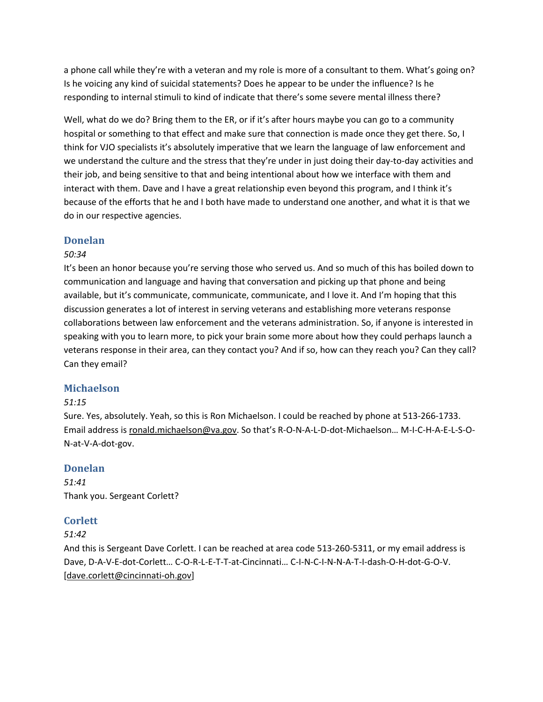a phone call while they're with a veteran and my role is more of a consultant to them. What's going on? Is he voicing any kind of suicidal statements? Does he appear to be under the influence? Is he responding to internal stimuli to kind of indicate that there's some severe mental illness there?

Well, what do we do? Bring them to the ER, or if it's after hours maybe you can go to a community hospital or something to that effect and make sure that connection is made once they get there. So, I think for VJO specialists it's absolutely imperative that we learn the language of law enforcement and we understand the culture and the stress that they're under in just doing their day-to-day activities and their job, and being sensitive to that and being intentional about how we interface with them and interact with them. Dave and I have a great relationship even beyond this program, and I think it's because of the efforts that he and I both have made to understand one another, and what it is that we do in our respective agencies.

### **Donelan**

### *50:34*

It's been an honor because you're serving those who served us. And so much of this has boiled down to communication and language and having that conversation and picking up that phone and being available, but it's communicate, communicate, communicate, and I love it. And I'm hoping that this discussion generates a lot of interest in serving veterans and establishing more veterans response collaborations between law enforcement and the veterans administration. So, if anyone is interested in speaking with you to learn more, to pick your brain some more about how they could perhaps launch a veterans response in their area, can they contact you? And if so, how can they reach you? Can they call? Can they email?

### **Michaelson**

### *51:15*

Sure. Yes, absolutely. Yeah, so this is Ron Michaelson. I could be reached by phone at 513-266-1733. Email address is [ronald.michaelson@va.gov.](mailto:ronald.michaelson@va.gov) So that's R-O-N-A-L-D-dot-Michaelson… M-I-C-H-A-E-L-S-O-N-at-V-A-dot-gov.

### **Donelan**

*51:41* Thank you. Sergeant Corlett?

# **Corlett**

### *51:42*

And this is Sergeant Dave Corlett. I can be reached at area code 513-260-5311, or my email address is Dave, D-A-V-E-dot-Corlett… C-O-R-L-E-T-T-at-Cincinnati… C-I-N-C-I-N-N-A-T-I-dash-O-H-dot-G-O-V. [\[dave.corlett@cincinnati-oh.gov\]](mailto:dave.corlett@cincinnati-oh.gov)